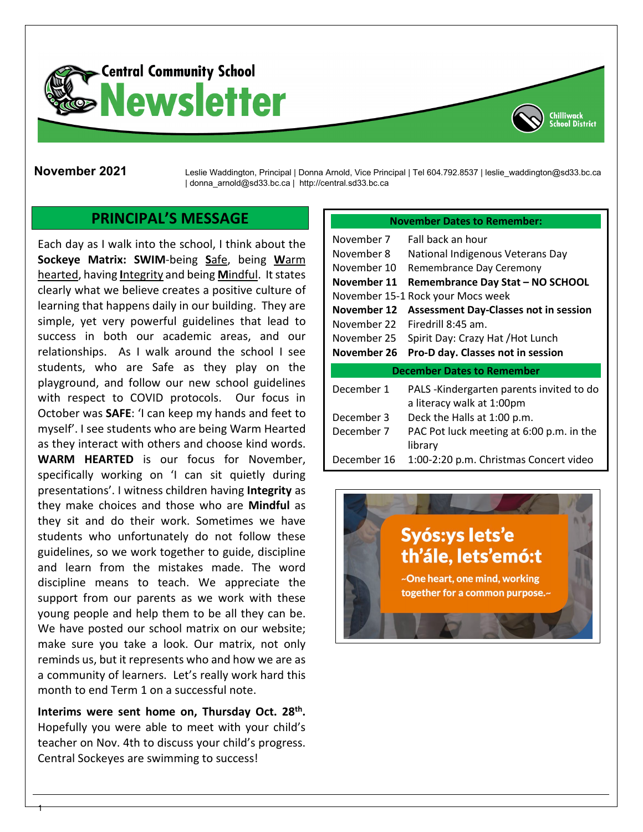



**November 2021** Leslie Waddington, Principal | Donna Arnold, Vice Principal | Tel 604.792.8537 | leslie\_waddington@sd33.bc.ca | donna\_arnold@sd33.bc.ca | http://central.sd33.bc.ca

#### **PRINCIPAL'S MESSAGE**

Each day as I walk into the school, I think about the **Sockeye Matrix: SWIM**-being **S**afe, being **W**arm hearted, having **I**ntegrity and being **M**indful. It states clearly what we believe creates a positive culture of learning that happens daily in our building. They are simple, yet very powerful guidelines that lead to success in both our academic areas, and our relationships. As I walk around the school I see students, who are Safe as they play on the playground, and follow our new school guidelines with respect to COVID protocols. Our focus in October was **SAFE**: 'I can keep my hands and feet to myself'. I see students who are being Warm Hearted as they interact with others and choose kind words. **WARM HEARTED** is our focus for November, specifically working on 'I can sit quietly during presentations'. I witness children having **Integrity** as they make choices and those who are **Mindful** as they sit and do their work. Sometimes we have students who unfortunately do not follow these guidelines, so we work together to guide, discipline and learn from the mistakes made. The word discipline means to teach. We appreciate the support from our parents as we work with these young people and help them to be all they can be. We have posted our school matrix on our website; make sure you take a look. Our matrix, not only reminds us, but it represents who and how we are as a community of learners. Let's really work hard this month to end Term 1 on a successful note.

**Interims were sent home on, Thursday Oct. 28th.** Hopefully you were able to meet with your child's teacher on Nov. 4th to discuss your child's progress. Central Sockeyes are swimming to success!

1

#### **November Dates to Remember:**

| November 7  | Fall back an hour                                                     |
|-------------|-----------------------------------------------------------------------|
| November 8  | National Indigenous Veterans Day                                      |
| November 10 | Remembrance Day Ceremony                                              |
| November 11 | Remembrance Day Stat - NO SCHOOL                                      |
|             | November 15-1 Rock your Mocs week                                     |
| November 12 | <b>Assessment Day-Classes not in session</b>                          |
| November 22 | Firedrill 8:45 am.                                                    |
| November 25 | Spirit Day: Crazy Hat / Hot Lunch                                     |
| November 26 | Pro-D day. Classes not in session                                     |
|             |                                                                       |
|             | <b>December Dates to Remember</b>                                     |
| December 1  | PALS -Kindergarten parents invited to do<br>a literacy walk at 1:00pm |
| December 3  | Deck the Halls at 1:00 p.m.                                           |
| December 7  | PAC Pot luck meeting at 6:00 p.m. in the<br>library                   |
| December 16 | 1:00-2:20 p.m. Christmas Concert video                                |

# Syós:ys lets'e th'ále, lets'emó:t

~One heart, one mind, working together for a common purpose.~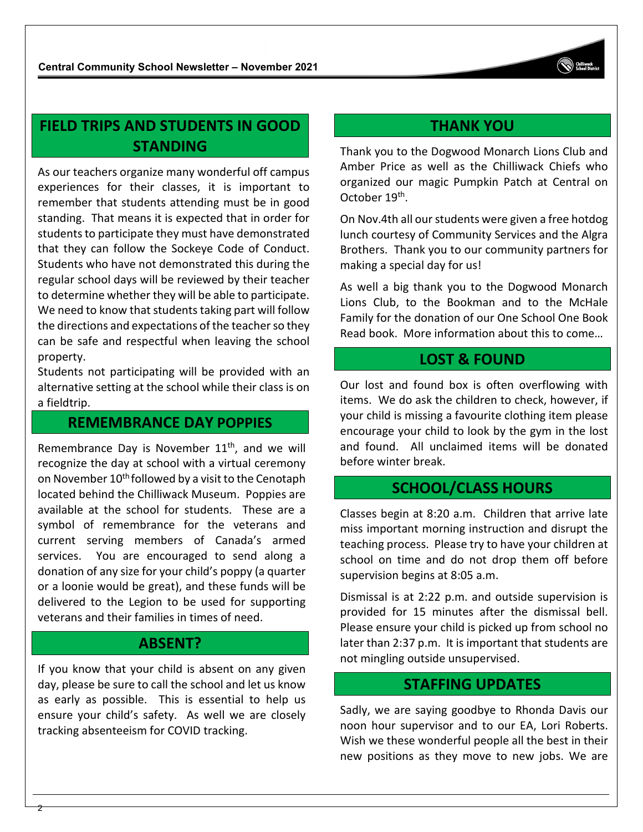## **FIELD TRIPS AND STUDENTS IN GOOD STANDING**

As our teachers organize many wonderful off campus experiences for their classes, it is important to remember that students attending must be in good standing. That means it is expected that in order for students to participate they must have demonstrated that they can follow the Sockeye Code of Conduct. Students who have not demonstrated this during the regular school days will be reviewed by their teacher to determine whether they will be able to participate. We need to know that students taking part will follow the directions and expectations of the teacher so they can be safe and respectful when leaving the school property.

Students not participating will be provided with an alternative setting at the school while their class is on a fieldtrip.

#### **REMEMBRANCE DAY POPPIES**

Remembrance Day is November  $11<sup>th</sup>$ , and we will recognize the day at school with a virtual ceremony on November 10<sup>th</sup> followed by a visit to the Cenotaph located behind the Chilliwack Museum. Poppies are available at the school for students. These are a symbol of remembrance for the veterans and current serving members of Canada's armed services. You are encouraged to send along a donation of any size for your child's poppy (a quarter or a loonie would be great), and these funds will be delivered to the Legion to be used for supporting veterans and their families in times of need.

#### **ABSENT?**

If you know that your child is absent on any given day, please be sure to call the school and let us know as early as possible. This is essential to help us ensure your child's safety. As well we are closely tracking absenteeism for COVID tracking.

2

## **THANK YOU**

Thank you to the Dogwood Monarch Lions Club and Amber Price as well as the Chilliwack Chiefs who organized our magic Pumpkin Patch at Central on October 19<sup>th</sup>.

On Nov.4th all our students were given a free hotdog lunch courtesy of Community Services and the Algra Brothers. Thank you to our community partners for making a special day for us!

As well a big thank you to the Dogwood Monarch Lions Club, to the Bookman and to the McHale Family for the donation of our One School One Book Read book. More information about this to come…

#### **LOST & FOUND**

Our lost and found box is often overflowing with items. We do ask the children to check, however, if your child is missing a favourite clothing item please encourage your child to look by the gym in the lost and found. All unclaimed items will be donated before winter break.

### **SCHOOL/CLASS HOURS**

Classes begin at 8:20 a.m. Children that arrive late miss important morning instruction and disrupt the teaching process. Please try to have your children at school on time and do not drop them off before supervision begins at 8:05 a.m.

Dismissal is at 2:22 p.m. and outside supervision is provided for 15 minutes after the dismissal bell. Please ensure your child is picked up from school no later than 2:37 p.m. It is important that students are not mingling outside unsupervised.

#### **STAFFING UPDATES**

Sadly, we are saying goodbye to Rhonda Davis our noon hour supervisor and to our EA, Lori Roberts. Wish we these wonderful people all the best in their new positions as they move to new jobs. We are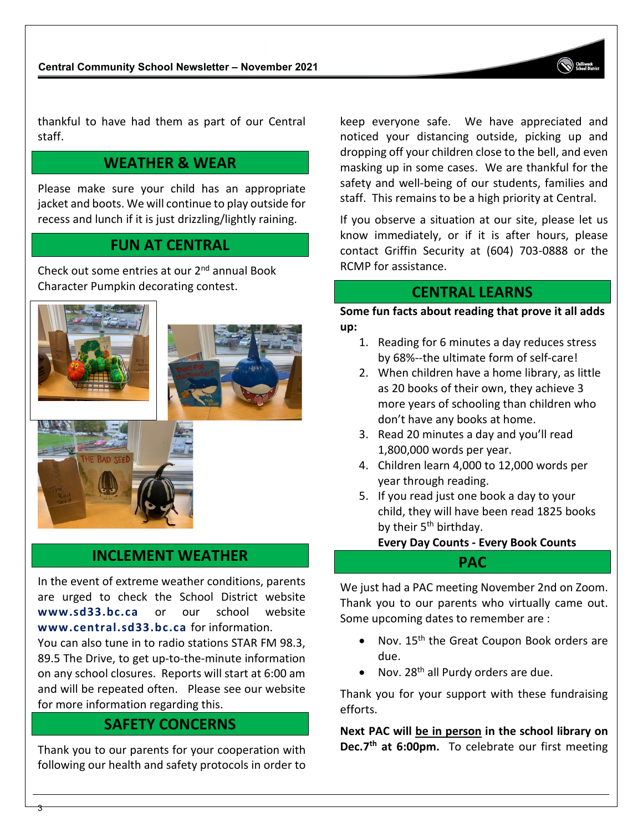thankful to have had them as part of our Central staff.

### **WEATHER & WEAR**

Please make sure your child has an appropriate jacket and boots. We will continue to play outside for recess and lunch if it is just drizzling/lightly raining.

#### **FUN AT CENTRAL**

Check out some entries at our 2nd annual Book Character Pumpkin decorating contest.



#### **INCLEMENT WEATHER**

In the event of extreme weather conditions, parents are urged to check the School District website **[www.sd33.bc.ca](http://www.sd33.bc.ca/)** or our school website **[www.central.sd33.bc.ca](http://www.central.sd33.bc.ca/)** for information.

You can also tune in to radio stations STAR FM 98.3, 89.5 The Drive, to get up-to-the-minute information on any school closures. Reports will start at 6:00 am and will be repeated often. Please see our website for more information regarding this.

#### **SAFETY CONCERNS**

Thank you to our parents for your cooperation with following our health and safety protocols in order to

3

keep everyone safe. We have appreciated and noticed your distancing outside, picking up and dropping off your children close to the bell, and even masking up in some cases. We are thankful for the safety and well-being of our students, families and staff. This remains to be a high priority at Central.

If you observe a situation at our site, please let us know immediately, or if it is after hours, please contact Griffin Security at (604) 703-0888 or the RCMP for assistance.

#### **CENTRAL LEARNS**

**Some fun facts about reading that prove it all adds up:**

- 1. Reading for 6 minutes a day reduces stress by 68%--the ultimate form of self-care!
- 2. When children have a home library, as little as 20 books of their own, they achieve 3 more years of schooling than children who don't have any books at home.
- 3. Read 20 minutes a day and you'll read 1,800,000 words per year.
- 4. Children learn 4,000 to 12,000 words per year through reading.
- 5. If you read just one book a day to your child, they will have been read 1825 books by their  $5<sup>th</sup>$  birthday.

**Every Day Counts - Every Book Counts**

#### **PAC**

We just had a PAC meeting November 2nd on Zoom. Thank you to our parents who virtually came out. Some upcoming dates to remember are :

- Nov. 15<sup>th</sup> the Great Coupon Book orders are due.
- Nov.  $28<sup>th</sup>$  all Purdy orders are due.

Thank you for your support with these fundraising efforts.

**Next PAC will be in person in the school library on Dec.7th at 6:00pm.** To celebrate our first meeting